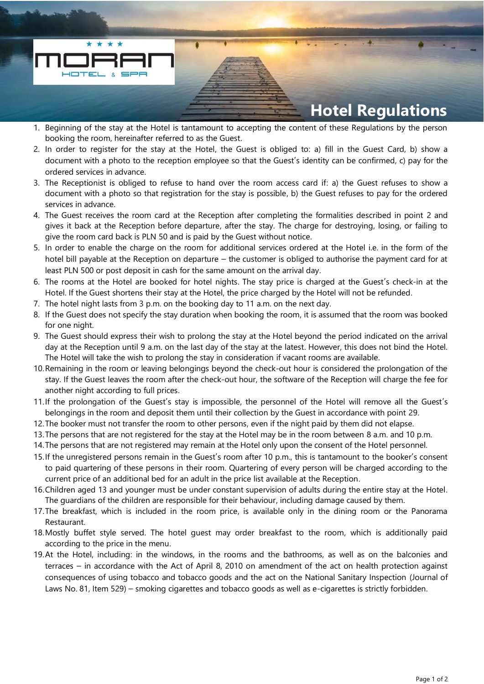

- 1. Beginning of the stay at the Hotel is tantamount to accepting the content of these Regulations by the person booking the room, hereinafter referred to as the Guest.
- 2. In order to register for the stay at the Hotel, the Guest is obliged to: a) fill in the Guest Card, b) show a document with a photo to the reception employee so that the Guest's identity can be confirmed, c) pay for the ordered services in advance.
- 3. The Receptionist is obliged to refuse to hand over the room access card if: a) the Guest refuses to show a document with a photo so that registration for the stay is possible, b) the Guest refuses to pay for the ordered services in advance.
- 4. The Guest receives the room card at the Reception after completing the formalities described in point 2 and gives it back at the Reception before departure, after the stay. The charge for destroying, losing, or failing to give the room card back is PLN 50 and is paid by the Guest without notice.
- 5. In order to enable the charge on the room for additional services ordered at the Hotel i.e. in the form of the hotel bill payable at the Reception on departure – the customer is obliged to authorise the payment card for at least PLN 500 or post deposit in cash for the same amount on the arrival day.
- 6. The rooms at the Hotel are booked for hotel nights. The stay price is charged at the Guest's check-in at the Hotel. If the Guest shortens their stay at the Hotel, the price charged by the Hotel will not be refunded.
- 7. The hotel night lasts from 3 p.m. on the booking day to 11 a.m. on the next day.
- 8. If the Guest does not specify the stay duration when booking the room, it is assumed that the room was booked for one night.
- 9. The Guest should express their wish to prolong the stay at the Hotel beyond the period indicated on the arrival day at the Reception until 9 a.m. on the last day of the stay at the latest. However, this does not bind the Hotel. The Hotel will take the wish to prolong the stay in consideration if vacant rooms are available.
- 10.Remaining in the room or leaving belongings beyond the check-out hour is considered the prolongation of the stay. If the Guest leaves the room after the check-out hour, the software of the Reception will charge the fee for another night according to full prices.
- 11.If the prolongation of the Guest's stay is impossible, the personnel of the Hotel will remove all the Guest's belongings in the room and deposit them until their collection by the Guest in accordance with point 29.
- 12.The booker must not transfer the room to other persons, even if the night paid by them did not elapse.
- 13.The persons that are not registered for the stay at the Hotel may be in the room between 8 a.m. and 10 p.m.
- 14.The persons that are not registered may remain at the Hotel only upon the consent of the Hotel personnel.
- 15.If the unregistered persons remain in the Guest's room after 10 p.m., this is tantamount to the booker's consent to paid quartering of these persons in their room. Quartering of every person will be charged according to the current price of an additional bed for an adult in the price list available at the Reception.
- 16.Children aged 13 and younger must be under constant supervision of adults during the entire stay at the Hotel. The guardians of the children are responsible for their behaviour, including damage caused by them.
- 17.The breakfast, which is included in the room price, is available only in the dining room or the Panorama Restaurant.
- 18.Mostly buffet style served. The hotel guest may order breakfast to the room, which is additionally paid according to the price in the menu.
- 19.At the Hotel, including: in the windows, in the rooms and the bathrooms, as well as on the balconies and terraces – in accordance with the Act of April 8, 2010 on amendment of the act on health protection against consequences of using tobacco and tobacco goods and the act on the National Sanitary Inspection (Journal of Laws No. 81, Item 529) – smoking cigarettes and tobacco goods as well as e-cigarettes is strictly forbidden.